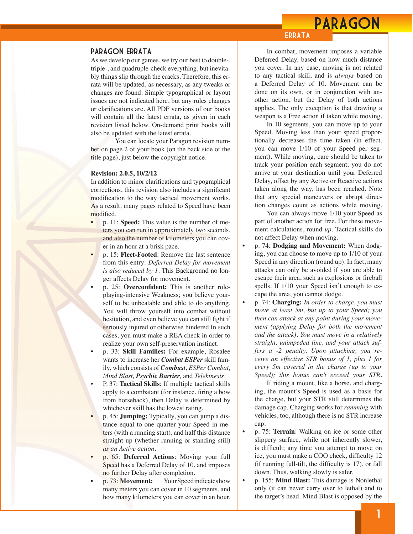## PARAGON

### Paragon Errata

As we develop our games, we try our best to double-, triple-, and quadruple-check everything, but inevitably things slip through the cracks. Therefore, this errata will be updated, as necessary, as any tweaks or changes are found. Simple typographical or layout issues are not indicated here, but any rules changes or clarifications are. All PDF versions of our books will contain all the latest errata, as given in each revision listed below. On-demand print books will also be updated with the latest errata.

 You can locate your Paragon revision number on page 2 of your book (on the back side of the title page), just below the copyright notice.

#### **Revision: 2.0.5, 10/2/12**

In addition to minor clarifications and typographical corrections, this revision also includes a significant modification to the way tactical movement works. As a result, many pages related to Speed have been modified.

- p. 11: **Speed:** This value is the number of meters you can run in approximately two seconds, and also the number of kilometers you can cover in an hour at a brisk pace.
	- p. 15: **Fleet-Footed**: Remove the last sentence from this entry: *Deferred Delay for movement is also reduced by 1.* This Background no longer affects Delay for movement.
- p. 25: Overconfident: This is another roleplaying-intensive Weakness; you believe yourself to be unbeatable and able to do anything. You will throw yourself into combat without hesitation, and even believe you can still fight if seriously injured or otherwise hindered. In such cases, you must make a REA check in order to realize your own self-preservation instinct.
- p. 33: **Skill Families:** For example, Rosalee wants to increase her *Combat ESPer* skill family, which consists of *Combust, ESPer Combat, Mind Blast, Psychic Barrier,* and *Telekinesis*.
- P. 37: **Tactical Skills**: If multiple tactical skills apply to a combatant (for instance, firing a bow from horseback), then Delay is determined by whichever skill has the lowest rating.
- p. 45: **Jumping:** Typically, you can jump a distance equal to one quarter your Speed in meters (with a running start), and half this distance straight up (whether running or standing still) *as an Active action.*
- p. 65: **Deferred Actions**: Moving your full Speed has a Deferred Delay of 10, and imposes no further Delay after completion.
- p. 73: **Movement:** Your Speed indicates how many meters you can cover in 10 segments, and how many kilometers you can cover in an hour.

 In combat, movement imposes a variable Deferred Delay, based on how much distance you cover. In any case, moving is not related to any tactical skill, and is *always* based on a Deferred Delay of 10. Movement can be done on its own, or in conjunction with another action, but the Delay of both actions applies. The only exception is that drawing a weapon is a Free action if taken while moving.

**ERRATA** 

 In 10 segments, you can move up to your Speed. Moving less than your speed proportionally decreases the time taken (in effect, you can move 1/10 of your Speed per segment). While moving, care should be taken to track your position each segment; you do not arrive at your destination until your Deferred Delay, offset by any Active or Reactive actions taken along the way, has been reached. Note that any special maneuvers or abrupt direction changes count as actions while moving.

 You can always move 1/10 your Speed as part of another action for free. For these movement calculations, round *up*. Tactical skills do not affect Delay when moving.

- p. 74: **Dodging and Movement:** When dodging, you can choose to move up to 1/10 of your Speed in any direction (round up). In fact, many attacks can only be avoided if you are able to escape their area, such as explosions or fireball spells. If 1/10 your Speed isn't enough to escape the area, you cannot dodge.
- p. 74: **Charging:** *In order to charge, you must move at least 5m, but up to your Speed; you then can attack at any point during your movement (applying Delay for both the movement and the attack). You must move in a relatively straight, unimpeded line, and your attack suffers a -2 penalty. Upon attacking, you receive an effective STR bonus of 1, plus 1 for every 5m covered in the charge (up to your Speed); this bonus can't exceed your STR.*

 If riding a mount, like a horse, and charging, the mount's Speed is used as a basis for the charge, but your STR still determines the damage cap. Charging works for *ramming* with vehicles, too, although there is no STR increase cap.

- p. 75: **Terrain**: Walking on ice or some other slippery surface, while not inherently slower, is difficult; any time you attempt to move on ice, you must make a COO check, difficulty 12 (if running full-tilt, the difficulty is  $17$ ), or fall down. Thus, walking slowly is safer.
- p. 155: **Mind Blast:** This damage is Nonlethal only (it can never carry over to lethal) and to the target's head. Mind Blast is opposed by the